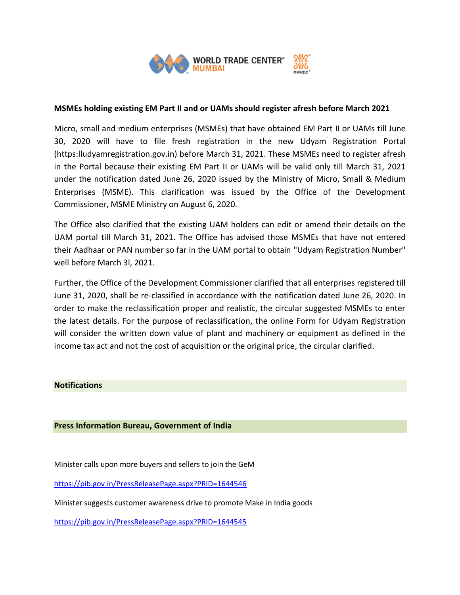

# **MSMEs holding existing EM Part II and or UAMs should register afresh before March 2021**

Micro, small and medium enterprises (MSMEs) that have obtained EM Part II or UAMs till June 30, 2020 will have to file fresh registration in the new Udyam Registration Portal (https:lludyamregistration.gov.in) before March 31, 2021. These MSMEs need to register afresh in the Portal because their existing EM Part II or UAMs will be valid only till March 31, 2021 under the notification dated June 26, 2020 issued by the Ministry of Micro, Small & Medium Enterprises (MSME). This clarification was issued by the Office of the Development Commissioner, MSME Ministry on August 6, 2020.

The Office also clarified that the existing UAM holders can edit or amend their details on the UAM portal till March 31, 2021. The Office has advised those MSMEs that have not entered their Aadhaar or PAN number so far in the UAM portal to obtain "Udyam Registration Number" well before March 3l, 2021.

Further, the Office of the Development Commissioner clarified that all enterprises registered till June 31, 2020, shall be re-classified in accordance with the notification dated June 26, 2020. In order to make the reclassification proper and realistic, the circular suggested MSMEs to enter the latest details. For the purpose of reclassification, the online Form for Udyam Registration will consider the written down value of plant and machinery or equipment as defined in the income tax act and not the cost of acquisition or the original price, the circular clarified.

### **Notifications**

### **Press Information Bureau, Government of India**

Minister calls upon more buyers and sellers to join the GeM

<https://pib.gov.in/PressReleasePage.aspx?PRID=1644546>

Minister suggests customer awareness drive to promote Make in India goods

<https://pib.gov.in/PressReleasePage.aspx?PRID=1644545>